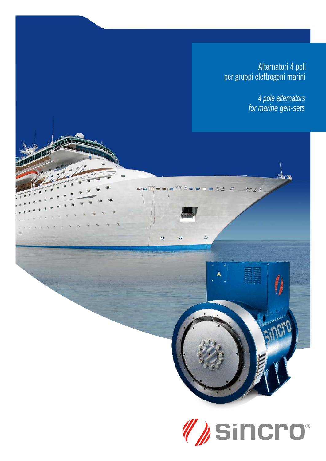Alternatori 4 poli per gruppi elettrogeni marini

> 4 pole alternators for marine gen-sets

> > **ETHER**

ğ,

non

nr r s

 $\overline{5}$ 

æ

 $\otimes$